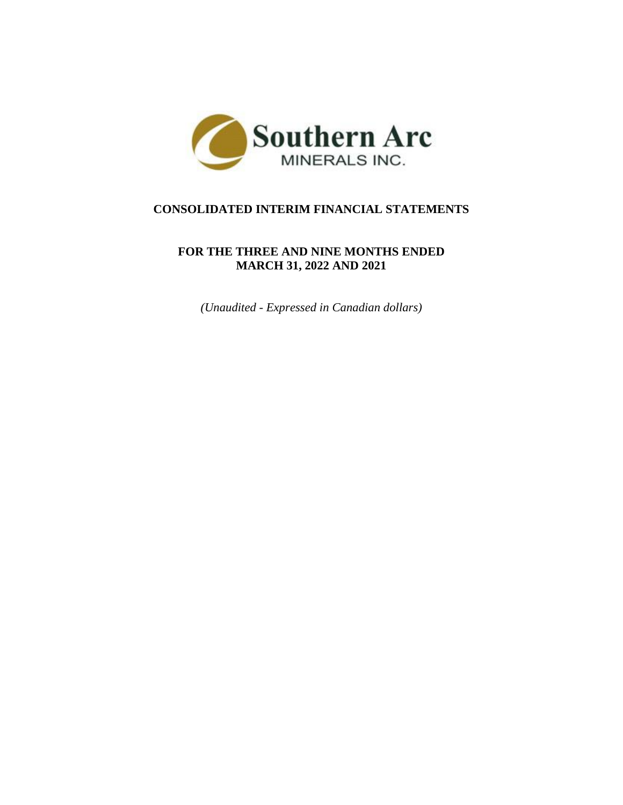

# **CONSOLIDATED INTERIM FINANCIAL STATEMENTS**

## **FOR THE THREE AND NINE MONTHS ENDED MARCH 31, 2022 AND 2021**

*(Unaudited - Expressed in Canadian dollars)*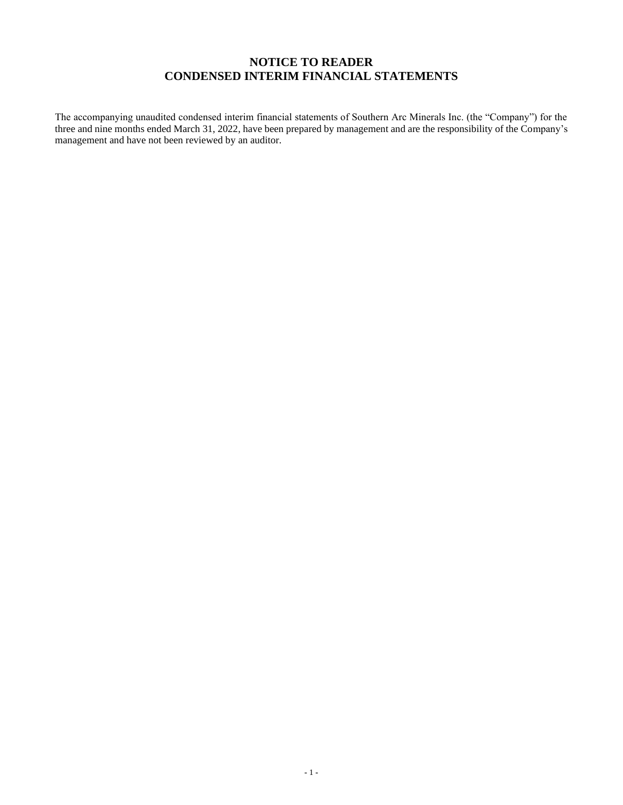## **NOTICE TO READER CONDENSED INTERIM FINANCIAL STATEMENTS**

The accompanying unaudited condensed interim financial statements of Southern Arc Minerals Inc. (the "Company") for the three and nine months ended March 31, 2022, have been prepared by management and are the responsibility of the Company's management and have not been reviewed by an auditor.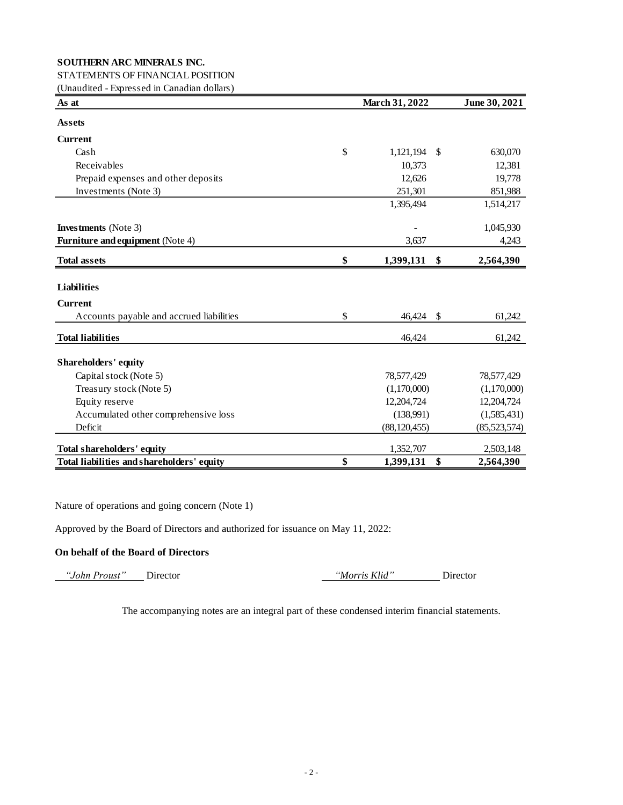## STATEMENTS OF FINANCIAL POSITION

(Unaudited - Expressed in Canadian dollars)

| As at                                      | March 31, 2022  |               |                |  |  |  |
|--------------------------------------------|-----------------|---------------|----------------|--|--|--|
| <b>Assets</b>                              |                 |               |                |  |  |  |
| <b>Current</b>                             |                 |               |                |  |  |  |
| Cash                                       | \$<br>1,121,194 | - \$          | 630,070        |  |  |  |
| Receivables                                | 10,373          |               | 12,381         |  |  |  |
| Prepaid expenses and other deposits        | 12,626          |               | 19,778         |  |  |  |
| Investments (Note 3)                       | 251,301         |               | 851,988        |  |  |  |
|                                            | 1,395,494       |               | 1,514,217      |  |  |  |
| <b>Investments</b> (Note 3)                |                 |               | 1,045,930      |  |  |  |
| Furniture and equipment (Note 4)           | 3,637           |               | 4,243          |  |  |  |
| <b>Total assets</b>                        | \$<br>1,399,131 | \$            | 2,564,390      |  |  |  |
| <b>Liabilities</b>                         |                 |               |                |  |  |  |
| <b>Current</b>                             |                 |               |                |  |  |  |
| Accounts payable and accrued liabilities   | \$<br>46,424    | $\mathcal{S}$ | 61,242         |  |  |  |
| <b>Total liabilities</b>                   | 46,424          |               | 61,242         |  |  |  |
| <b>Shareholders' equity</b>                |                 |               |                |  |  |  |
| Capital stock (Note 5)                     | 78,577,429      |               | 78,577,429     |  |  |  |
| Treasury stock (Note 5)                    | (1,170,000)     |               | (1,170,000)    |  |  |  |
| Equity reserve                             | 12,204,724      |               | 12,204,724     |  |  |  |
| Accumulated other comprehensive loss       | (138,991)       |               | (1,585,431)    |  |  |  |
| Deficit                                    | (88, 120, 455)  |               | (85, 523, 574) |  |  |  |
| <b>Total shareholders' equity</b>          | 1,352,707       |               | 2,503,148      |  |  |  |
| Total liabilities and shareholders' equity | \$<br>1,399,131 | \$            | 2,564,390      |  |  |  |

Nature of operations and going concern (Note 1)

Approved by the Board of Directors and authorized for issuance on May 11, 2022:

## **On behalf of the Board of Directors**

 *"John Proust"* Director *"Morris Klid"* Director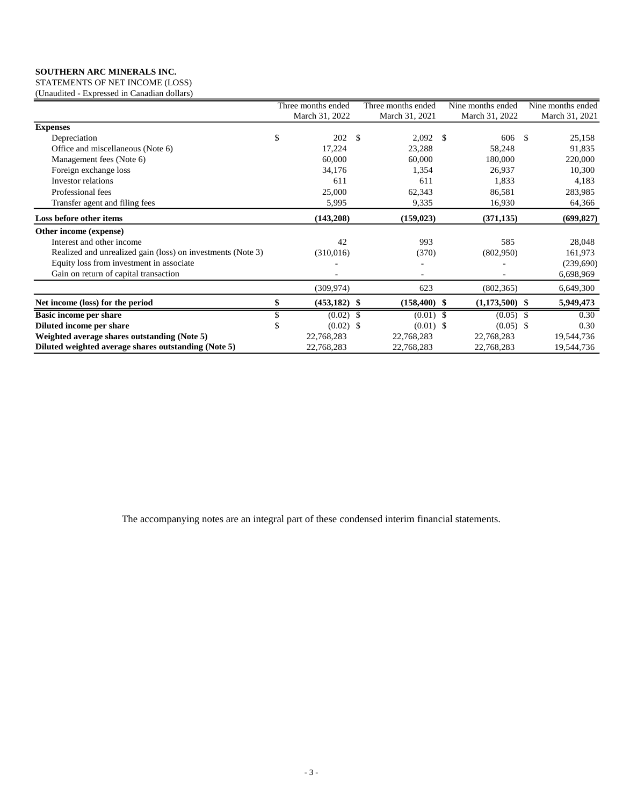STATEMENTS OF NET INCOME (LOSS) (Unaudited - Expressed in Canadian dollars)

|                                                             | Three months ended |               | Three months ended |               | Nine months ended |      | Nine months ended |
|-------------------------------------------------------------|--------------------|---------------|--------------------|---------------|-------------------|------|-------------------|
|                                                             | March 31, 2022     |               | March 31, 2021     |               | March 31, 2022    |      | March 31, 2021    |
| <b>Expenses</b>                                             |                    |               |                    |               |                   |      |                   |
| Depreciation                                                | \$<br>202          | $\mathcal{S}$ | 2,092              | <sup>\$</sup> | 606               | - \$ | 25,158            |
| Office and miscellaneous (Note 6)                           | 17,224             |               | 23,288             |               | 58,248            |      | 91,835            |
| Management fees (Note 6)                                    | 60,000             |               | 60,000             |               | 180,000           |      | 220,000           |
| Foreign exchange loss                                       | 34,176             |               | 1,354              |               | 26,937            |      | 10,300            |
| Investor relations                                          | 611                |               | 611                |               | 1,833             |      | 4,183             |
| Professional fees                                           | 25,000             |               | 62,343             |               | 86,581            |      | 283,985           |
| Transfer agent and filing fees                              | 5,995              |               | 9,335              |               | 16,930            |      | 64,366            |
| Loss before other items                                     | (143, 208)         |               | (159, 023)         |               | (371, 135)        |      | (699, 827)        |
| Other income (expense)                                      |                    |               |                    |               |                   |      |                   |
| Interest and other income                                   | 42                 |               | 993                |               | 585               |      | 28,048            |
| Realized and unrealized gain (loss) on investments (Note 3) | (310,016)          |               | (370)              |               | (802,950)         |      | 161,973           |
| Equity loss from investment in associate                    |                    |               |                    |               |                   |      | (239,690)         |
| Gain on return of capital transaction                       |                    |               |                    |               |                   |      | 6,698,969         |
|                                                             | (309, 974)         |               | 623                |               | (802, 365)        |      | 6,649,300         |
| Net income (loss) for the period                            | $(453, 182)$ \$    |               | $(158, 400)$ \$    |               | $(1,173,500)$ \$  |      | 5,949,473         |
| <b>Basic income per share</b>                               | $(0.02)$ \$        |               | $(0.01)$ \$        |               | $(0.05)$ \$       |      | 0.30              |
| Diluted income per share                                    | $(0.02)$ \$        |               | $(0.01)$ \$        |               | $(0.05)$ \$       |      | 0.30              |
| Weighted average shares outstanding (Note 5)                | 22,768,283         |               | 22,768,283         |               | 22,768,283        |      | 19,544,736        |
| Diluted weighted average shares outstanding (Note 5)        | 22,768,283         |               | 22,768,283         |               | 22,768,283        |      | 19,544,736        |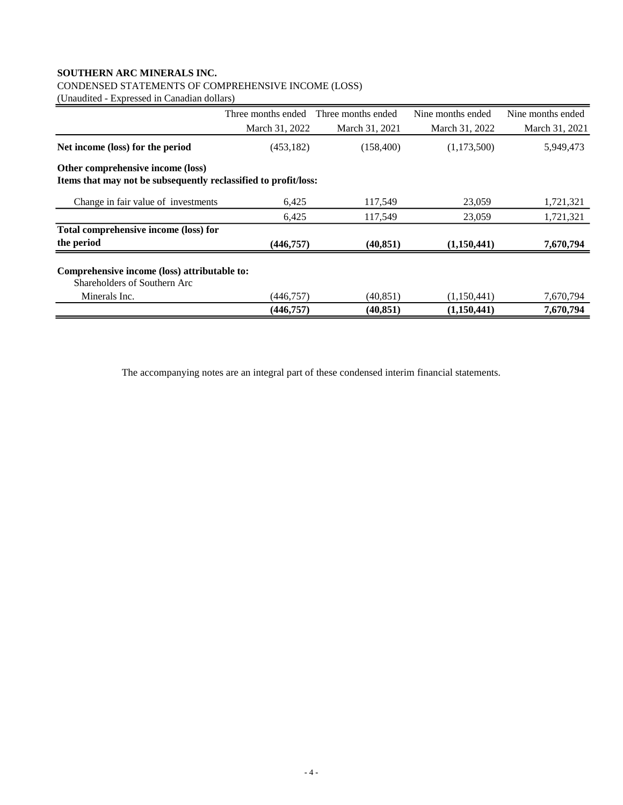## CONDENSED STATEMENTS OF COMPREHENSIVE INCOME (LOSS)

(Unaudited - Expressed in Canadian dollars)

|                                                                              | Three months ended | Three months ended | Nine months ended | Nine months ended |
|------------------------------------------------------------------------------|--------------------|--------------------|-------------------|-------------------|
|                                                                              | March 31, 2022     | March 31, 2021     | March 31, 2022    | March 31, 2021    |
| Net income (loss) for the period                                             | (453, 182)         | (158, 400)         | (1,173,500)       | 5,949,473         |
| Other comprehensive income (loss)                                            |                    |                    |                   |                   |
| Items that may not be subsequently reclassified to profit/loss:              |                    |                    |                   |                   |
| Change in fair value of investments                                          | 6.425              | 117,549            | 23,059            | 1,721,321         |
|                                                                              | 6,425              | 117,549            | 23,059            | 1,721,321         |
| Total comprehensive income (loss) for                                        |                    |                    |                   |                   |
| the period                                                                   | (446, 757)         | (40, 851)          | (1,150,441)       | 7,670,794         |
| Comprehensive income (loss) attributable to:<br>Shareholders of Southern Arc |                    |                    |                   |                   |
| Minerals Inc.                                                                | (446,757)          | (40, 851)          | (1,150,441)       | 7,670,794         |
|                                                                              | (446, 757)         | (40, 851)          | (1,150,441)       | 7,670,794         |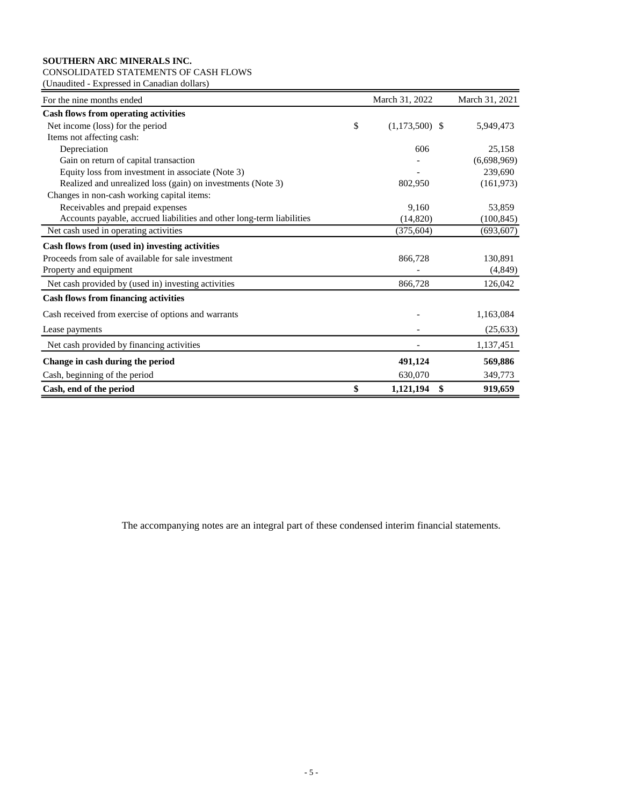## CONSOLIDATED STATEMENTS OF CASH FLOWS

(Unaudited - Expressed in Canadian dollars)

| For the nine months ended                                             | March 31, 2022         | March 31, 2021 |
|-----------------------------------------------------------------------|------------------------|----------------|
| <b>Cash flows from operating activities</b>                           |                        |                |
| Net income (loss) for the period                                      | \$<br>$(1,173,500)$ \$ | 5,949,473      |
| Items not affecting cash:                                             |                        |                |
| Depreciation                                                          | 606                    | 25,158         |
| Gain on return of capital transaction                                 |                        | (6,698,969)    |
| Equity loss from investment in associate (Note 3)                     |                        | 239,690        |
| Realized and unrealized loss (gain) on investments (Note 3)           | 802,950                | (161, 973)     |
| Changes in non-cash working capital items:                            |                        |                |
| Receivables and prepaid expenses                                      | 9,160                  | 53,859         |
| Accounts payable, accrued liabilities and other long-term liabilities | (14,820)               | (100, 845)     |
| Net cash used in operating activities                                 | (375, 604)             | (693, 607)     |
| Cash flows from (used in) investing activities                        |                        |                |
| Proceeds from sale of available for sale investment                   | 866,728                | 130,891        |
| Property and equipment                                                |                        | (4,849)        |
| Net cash provided by (used in) investing activities                   | 866,728                | 126,042        |
| <b>Cash flows from financing activities</b>                           |                        |                |
| Cash received from exercise of options and warrants                   |                        | 1,163,084      |
| Lease payments                                                        |                        | (25, 633)      |
| Net cash provided by financing activities                             |                        | 1,137,451      |
| Change in cash during the period                                      | 491,124                | 569,886        |
| Cash, beginning of the period                                         | 630,070                | 349,773        |
| Cash, end of the period                                               | \$<br>\$<br>1,121,194  | 919,659        |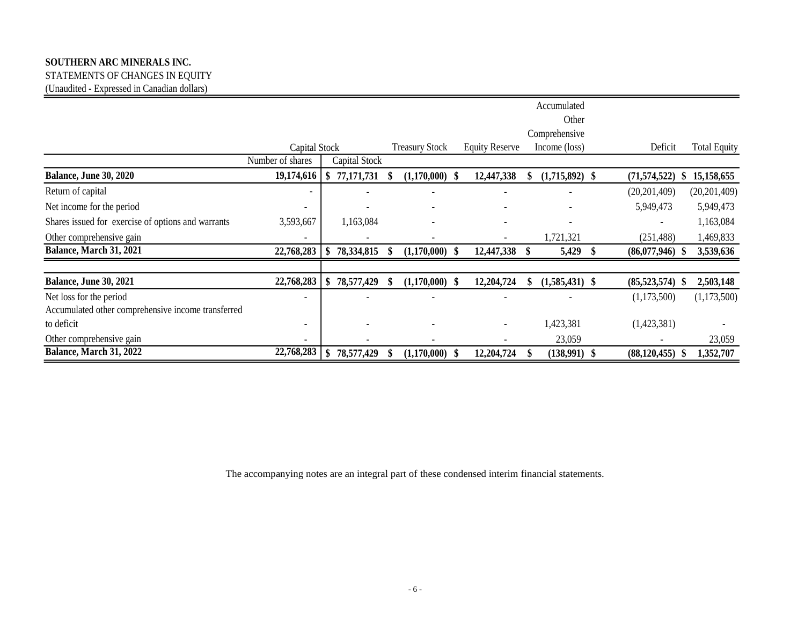STATEMENTS OF CHANGES IN EQUITY (Unaudited - Expressed in Canadian dollars)

|                                                    |                          |               |   |                       |      |                          | Accumulated<br>Other     |                          |                     |
|----------------------------------------------------|--------------------------|---------------|---|-----------------------|------|--------------------------|--------------------------|--------------------------|---------------------|
|                                                    |                          |               |   |                       |      |                          | Comprehensive            |                          |                     |
|                                                    | Capital Stock            |               |   | <b>Treasury Stock</b> |      | <b>Equity Reserve</b>    | Income (loss)            | Deficit                  | <b>Total Equity</b> |
|                                                    | Number of shares         | Capital Stock |   |                       |      |                          |                          |                          |                     |
| <b>Balance, June 30, 2020</b>                      | 19,174,616               | 77,171,731    |   | $(1,170,000)$ \$      |      | 12,447,338               | $(1,715,892)$ \$         | (71, 574, 522)           | 15,158,655          |
| Return of capital                                  |                          |               |   |                       |      |                          |                          | (20, 201, 409)           | (20, 201, 409)      |
| Net income for the period                          | $\overline{\phantom{a}}$ |               |   |                       |      |                          |                          | 5,949,473                | 5,949,473           |
| Shares issued for exercise of options and warrants | 3,593,667                | 1,163,084     |   |                       |      |                          | $\overline{\phantom{a}}$ | $\overline{\phantom{a}}$ | 1,163,084           |
| Other comprehensive gain                           | $\overline{a}$           |               |   |                       |      | $\overline{\phantom{a}}$ | 1,721,321                | (251, 488)               | 1,469,833           |
| Balance, March 31, 2021                            | 22,768,283               | 78,334,815    | S | $(1,170,000)$ \$      |      | 12,447,338               | 5,429                    | $(86,077,946)$ \$        | 3,539,636           |
|                                                    |                          |               |   |                       |      |                          |                          |                          |                     |
| <b>Balance, June 30, 2021</b>                      | 22,768,283               | 78,577,429    | S | $(1,170,000)$ \$      |      | 12,204,724               | $(1,585,431)$ \$         | $(85,523,574)$ \$        | 2,503,148           |
| Net loss for the period                            | $\overline{\phantom{a}}$ |               |   |                       |      |                          |                          | (1,173,500)              | (1,173,500)         |
| Accumulated other comprehensive income transferred |                          |               |   |                       |      |                          |                          |                          |                     |
| to deficit                                         | $\overline{\phantom{a}}$ |               |   |                       |      |                          | 1,423,381                | (1,423,381)              |                     |
| Other comprehensive gain                           | $\overline{\phantom{a}}$ |               |   |                       |      |                          | 23,059                   |                          | 23,059              |
| Balance, March 31, 2022                            | 22,768,283               | 78,577,429    |   | (1,170,000)           | - \$ | 12,204,724               | $(138,991)$ \$           | (88, 120, 455)           | 1,352,707           |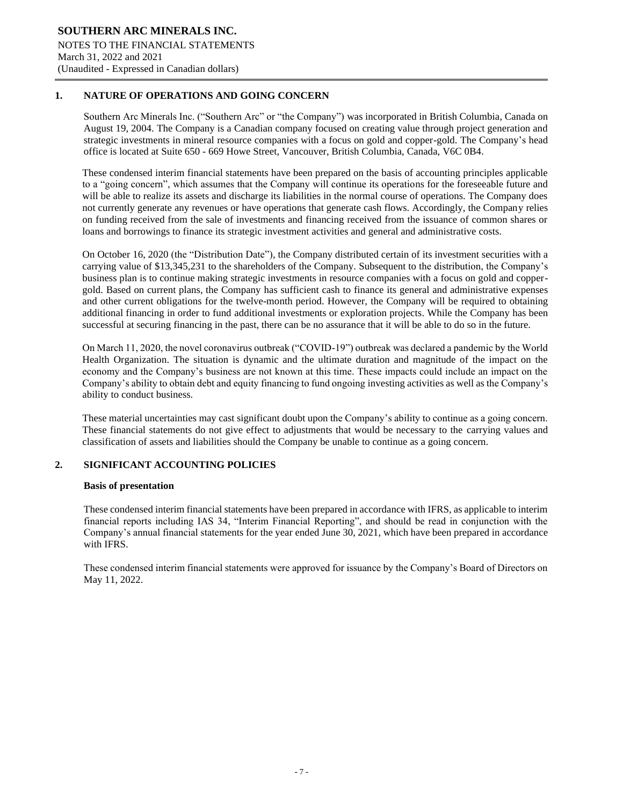## **1. NATURE OF OPERATIONS AND GOING CONCERN**

Southern Arc Minerals Inc. ("Southern Arc" or "the Company") was incorporated in British Columbia, Canada on August 19, 2004. The Company is a Canadian company focused on creating value through project generation and strategic investments in mineral resource companies with a focus on gold and copper-gold. The Company's head office is located at Suite 650 - 669 Howe Street, Vancouver, British Columbia, Canada, V6C 0B4.

֦

These condensed interim financial statements have been prepared on the basis of accounting principles applicable to a "going concern", which assumes that the Company will continue its operations for the foreseeable future and will be able to realize its assets and discharge its liabilities in the normal course of operations. The Company does not currently generate any revenues or have operations that generate cash flows. Accordingly, the Company relies on funding received from the sale of investments and financing received from the issuance of common shares or loans and borrowings to finance its strategic investment activities and general and administrative costs.

On October 16, 2020 (the "Distribution Date"), the Company distributed certain of its investment securities with a carrying value of \$13,345,231 to the shareholders of the Company. Subsequent to the distribution, the Company's business plan is to continue making strategic investments in resource companies with a focus on gold and coppergold. Based on current plans, the Company has sufficient cash to finance its general and administrative expenses and other current obligations for the twelve-month period. However, the Company will be required to obtaining additional financing in order to fund additional investments or exploration projects. While the Company has been successful at securing financing in the past, there can be no assurance that it will be able to do so in the future.

On March 11, 2020, the novel coronavirus outbreak ("COVID-19") outbreak was declared a pandemic by the World Health Organization. The situation is dynamic and the ultimate duration and magnitude of the impact on the economy and the Company's business are not known at this time. These impacts could include an impact on the Company's ability to obtain debt and equity financing to fund ongoing investing activities as well as the Company's ability to conduct business.

These material uncertainties may cast significant doubt upon the Company's ability to continue as a going concern. These financial statements do not give effect to adjustments that would be necessary to the carrying values and classification of assets and liabilities should the Company be unable to continue as a going concern.

### **2. SIGNIFICANT ACCOUNTING POLICIES**

### **Basis of presentation**

These condensed interim financial statements have been prepared in accordance with IFRS, as applicable to interim financial reports including IAS 34, "Interim Financial Reporting", and should be read in conjunction with the Company's annual financial statements for the year ended June 30, 2021, which have been prepared in accordance with IFRS.

These condensed interim financial statements were approved for issuance by the Company's Board of Directors on May 11, 2022.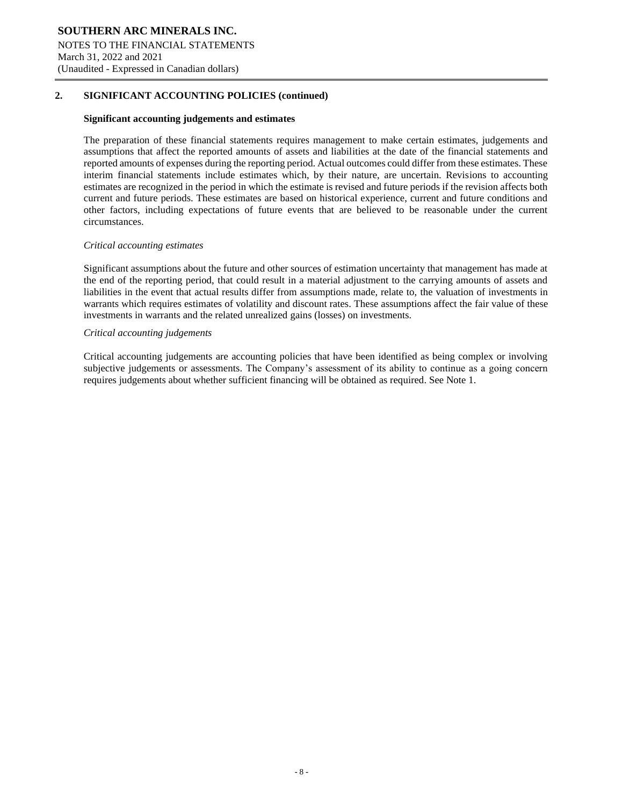## **2. SIGNIFICANT ACCOUNTING POLICIES (continued)**

#### **Significant accounting judgements and estimates**

The preparation of these financial statements requires management to make certain estimates, judgements and assumptions that affect the reported amounts of assets and liabilities at the date of the financial statements and reported amounts of expenses during the reporting period. Actual outcomes could differ from these estimates. These interim financial statements include estimates which, by their nature, are uncertain. Revisions to accounting estimates are recognized in the period in which the estimate is revised and future periods if the revision affects both current and future periods. These estimates are based on historical experience, current and future conditions and other factors, including expectations of future events that are believed to be reasonable under the current circumstances.

֦

#### *Critical accounting estimates*

Significant assumptions about the future and other sources of estimation uncertainty that management has made at the end of the reporting period, that could result in a material adjustment to the carrying amounts of assets and liabilities in the event that actual results differ from assumptions made, relate to, the valuation of investments in warrants which requires estimates of volatility and discount rates. These assumptions affect the fair value of these investments in warrants and the related unrealized gains (losses) on investments.

#### *Critical accounting judgements*

Critical accounting judgements are accounting policies that have been identified as being complex or involving subjective judgements or assessments. The Company's assessment of its ability to continue as a going concern requires judgements about whether sufficient financing will be obtained as required. See Note 1.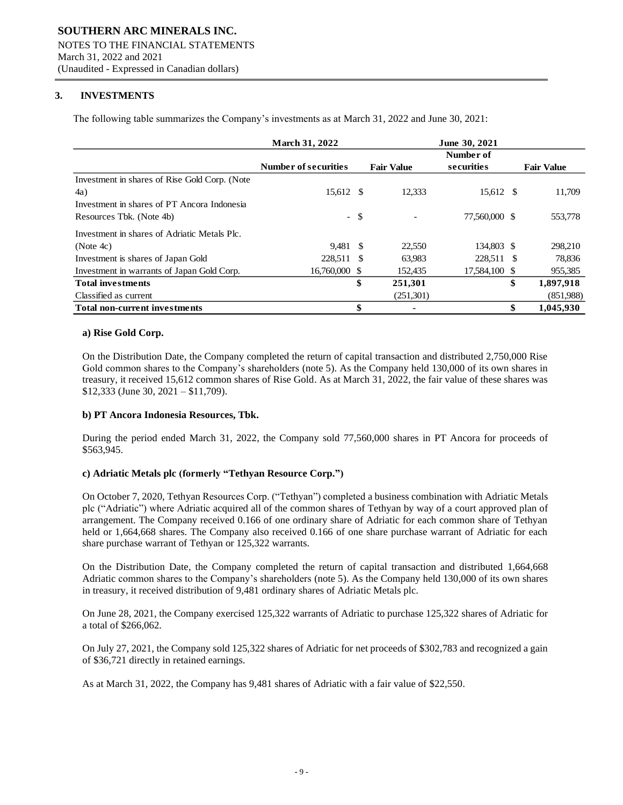## **3. INVESTMENTS**

The following table summarizes the Company's investments as at March 31, 2022 and June 30, 2021:

|                                               | <b>March 31, 2022</b>       |        |                   | June 30, 2021           |                   |
|-----------------------------------------------|-----------------------------|--------|-------------------|-------------------------|-------------------|
|                                               | <b>Number of securities</b> |        | <b>Fair Value</b> | Number of<br>securities | <b>Fair Value</b> |
| Investment in shares of Rise Gold Corp. (Note |                             |        |                   |                         |                   |
| 4a)                                           | 15,612 \$                   |        | 12,333            | 15,612 \$               | 11,709            |
| Investment in shares of PT Ancora Indonesia   |                             |        |                   |                         |                   |
| Resources Tbk. (Note 4b)                      |                             | $-$ \$ |                   | 77.560,000 \$           | 553,778           |
| Investment in shares of Adriatic Metals Plc.  |                             |        |                   |                         |                   |
| (Note4c)                                      | 9.481 \$                    |        | 22,550            | 134,803 \$              | 298,210           |
| Investment is shares of Japan Gold            | 228,511 \$                  |        | 63,983            | 228,511 \$              | 78,836            |
| Investment in warrants of Japan Gold Corp.    | 16.760,000 \$               |        | 152,435           | 17.584,100 \$           | 955,385           |
| <b>Total investments</b>                      |                             | \$     | 251,301           |                         | \$<br>1,897,918   |
| Classified as current                         |                             |        | (251,301)         |                         | (851,988)         |
| <b>Total non-current investments</b>          |                             | \$     |                   |                         | \$<br>1,045,930   |

֦

#### **a) Rise Gold Corp.**

On the Distribution Date, the Company completed the return of capital transaction and distributed 2,750,000 Rise Gold common shares to the Company's shareholders (note 5). As the Company held 130,000 of its own shares in treasury, it received 15,612 common shares of Rise Gold. As at March 31, 2022, the fair value of these shares was \$12,333 (June 30, 2021 – \$11,709).

#### **b) PT Ancora Indonesia Resources, Tbk.**

During the period ended March 31, 2022, the Company sold 77,560,000 shares in PT Ancora for proceeds of \$563,945.

#### **c) Adriatic Metals plc (formerly "Tethyan Resource Corp.")**

On October 7, 2020, Tethyan Resources Corp. ("Tethyan") completed a business combination with Adriatic Metals plc ("Adriatic") where Adriatic acquired all of the common shares of Tethyan by way of a court approved plan of arrangement. The Company received 0.166 of one ordinary share of Adriatic for each common share of Tethyan held or 1,664,668 shares. The Company also received 0.166 of one share purchase warrant of Adriatic for each share purchase warrant of Tethyan or 125,322 warrants.

On the Distribution Date, the Company completed the return of capital transaction and distributed 1,664,668 Adriatic common shares to the Company's shareholders (note 5). As the Company held 130,000 of its own shares in treasury, it received distribution of 9,481 ordinary shares of Adriatic Metals plc.

On June 28, 2021, the Company exercised 125,322 warrants of Adriatic to purchase 125,322 shares of Adriatic for a total of \$266,062.

On July 27, 2021, the Company sold 125,322 shares of Adriatic for net proceeds of \$302,783 and recognized a gain of \$36,721 directly in retained earnings.

As at March 31, 2022, the Company has 9,481 shares of Adriatic with a fair value of \$22,550.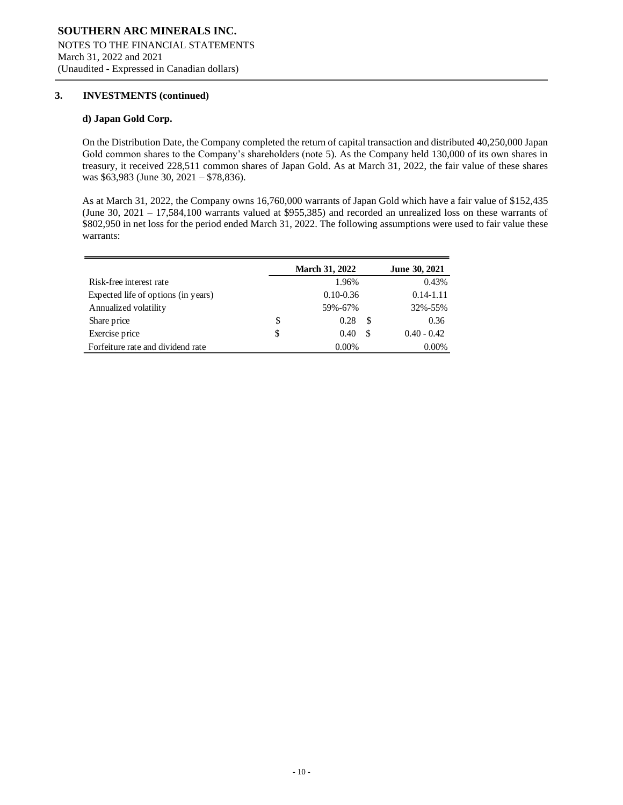### **3. INVESTMENTS (continued)**

#### **d) Japan Gold Corp.**

On the Distribution Date, the Company completed the return of capital transaction and distributed 40,250,000 Japan Gold common shares to the Company's shareholders (note 5). As the Company held 130,000 of its own shares in treasury, it received 228,511 common shares of Japan Gold. As at March 31, 2022, the fair value of these shares was \$63,983 (June 30, 2021 – \$78,836).

֦

As at March 31, 2022, the Company owns 16,760,000 warrants of Japan Gold which have a fair value of \$152,435 (June 30, 2021 – 17,584,100 warrants valued at \$955,385) and recorded an unrealized loss on these warrants of \$802,950 in net loss for the period ended March 31, 2022. The following assumptions were used to fair value these warrants:

|                                     | <b>March 31, 2022</b> |    | June 30, 2021 |
|-------------------------------------|-----------------------|----|---------------|
| Risk-free interest rate             | 1.96%                 |    | 0.43%         |
| Expected life of options (in years) | $0.10 - 0.36$         |    | $0.14 - 1.11$ |
| Annualized volatility               | 59%-67%               |    | 32%-55%       |
| Share price                         | \$<br>0.28            | S  | 0.36          |
| Exercise price                      | \$<br>0.40            | -S | $0.40 - 0.42$ |
| Forfeiture rate and dividend rate   | $0.00\%$              |    | $0.00\%$      |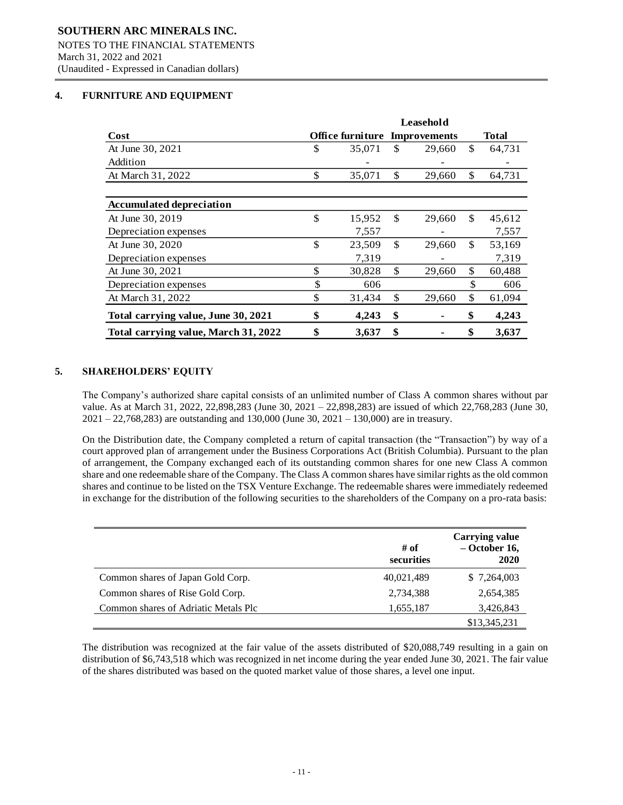## **4. FURNITURE AND EQUIPMENT**

|                                      | Leasehold |                                      |     |        |              |        |  |
|--------------------------------------|-----------|--------------------------------------|-----|--------|--------------|--------|--|
| Cost                                 |           | <b>Office furniture Improvements</b> |     |        |              | Total  |  |
| At June 30, 2021                     | \$        | 35,071                               | S   | 29,660 | \$           | 64,731 |  |
| Addition                             |           |                                      |     |        |              |        |  |
| At March 31, 2022                    | \$        | 35,071                               | \$  | 29,660 | $\mathbb{S}$ | 64,731 |  |
|                                      |           |                                      |     |        |              |        |  |
| <b>Accumulated depreciation</b>      |           |                                      |     |        |              |        |  |
| At June 30, 2019                     | \$        | 15,952                               | \$. | 29,660 | \$.          | 45,612 |  |
| Depreciation expenses                |           | 7,557                                |     |        |              | 7,557  |  |
| At June 30, 2020                     | \$        | 23,509                               | \$  | 29,660 | \$           | 53,169 |  |
| Depreciation expenses                |           | 7,319                                |     |        |              | 7,319  |  |
| At June 30, 2021                     | \$        | 30.828                               | \$  | 29,660 | $\mathbb{S}$ | 60,488 |  |
| Depreciation expenses                | \$        | 606                                  |     |        | \$           | 606    |  |
| At March 31, 2022                    | \$        | 31,434                               | \$  | 29,660 | \$           | 61,094 |  |
| Total carrying value, June 30, 2021  | \$        | 4,243                                | \$  | ۰      | \$           | 4,243  |  |
| Total carrying value, March 31, 2022 | \$        | 3,637                                | \$  |        | \$           | 3,637  |  |

֦

## **5. SHAREHOLDERS' EQUITY**

The Company's authorized share capital consists of an unlimited number of Class A common shares without par value. As at March 31, 2022, 22,898,283 (June 30, 2021 – 22,898,283) are issued of which 22,768,283 (June 30,  $2021 - 22,768,283$  are outstanding and 130,000 (June 30, 2021 – 130,000) are in treasury.

On the Distribution date, the Company completed a return of capital transaction (the "Transaction") by way of a court approved plan of arrangement under the Business Corporations Act (British Columbia). Pursuant to the plan of arrangement, the Company exchanged each of its outstanding common shares for one new Class A common share and one redeemable share of the Company. The Class A common shares have similar rights as the old common shares and continue to be listed on the TSX Venture Exchange. The redeemable shares were immediately redeemed in exchange for the distribution of the following securities to the shareholders of the Company on a pro-rata basis:

|                                      | # of<br>securities | <b>Carrying value</b><br>$-$ October 16,<br>2020 |
|--------------------------------------|--------------------|--------------------------------------------------|
| Common shares of Japan Gold Corp.    | 40,021,489         | \$ 7,264,003                                     |
| Common shares of Rise Gold Corp.     | 2,734,388          | 2,654,385                                        |
| Common shares of Adriatic Metals Plc | 1,655,187          | 3,426,843                                        |
|                                      |                    | \$13,345,231                                     |

The distribution was recognized at the fair value of the assets distributed of \$20,088,749 resulting in a gain on distribution of \$6,743,518 which was recognized in net income during the year ended June 30, 2021. The fair value of the shares distributed was based on the quoted market value of those shares, a level one input.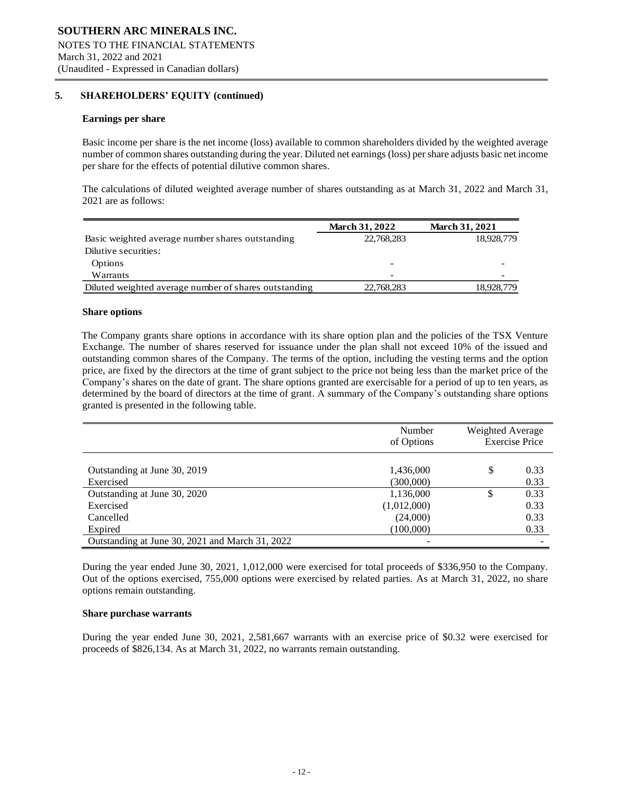## **5. SHAREHOLDERS' EQUITY (continued)**

#### **Earnings per share**

Basic income per share is the net income (loss) available to common shareholders divided by the weighted average number of common shares outstanding during the year. Diluted net earnings (loss) per share adjusts basic net income per share for the effects of potential dilutive common shares.

֦

The calculations of diluted weighted average number of shares outstanding as at March 31, 2022 and March 31, 2021 are as follows:

|                                                       | <b>March 31, 2022</b> | <b>March 31, 2021</b> |
|-------------------------------------------------------|-----------------------|-----------------------|
| Basic weighted average number shares outstanding      | 22,768,283            | 18,928,779            |
| Dilutive securities:                                  |                       |                       |
| <b>Options</b>                                        |                       |                       |
| Warrants                                              |                       |                       |
| Diluted weighted average number of shares outstanding | 22,768,283            | 18,928,779            |

#### **Share options**

The Company grants share options in accordance with its share option plan and the policies of the TSX Venture Exchange. The number of shares reserved for issuance under the plan shall not exceed 10% of the issued and outstanding common shares of the Company. The terms of the option, including the vesting terms and the option price, are fixed by the directors at the time of grant subject to the price not being less than the market price of the Company's shares on the date of grant. The share options granted are exercisable for a period of up to ten years, as determined by the board of directors at the time of grant. A summary of the Company's outstanding share options granted is presented in the following table.

|                                                 | Number<br>of Options   | Weighted Average | <b>Exercise Price</b> |
|-------------------------------------------------|------------------------|------------------|-----------------------|
| Outstanding at June 30, 2019<br>Exercised       | 1,436,000<br>(300,000) | S                | 0.33<br>0.33          |
| Outstanding at June 30, 2020                    | 1,136,000              | ¢<br>J           | 0.33                  |
| Exercised                                       | (1,012,000)            |                  | 0.33                  |
| Cancelled                                       | (24,000)               |                  | 0.33                  |
| Expired                                         | (100,000)              |                  | 0.33                  |
| Outstanding at June 30, 2021 and March 31, 2022 |                        |                  |                       |

During the year ended June 30, 2021, 1,012,000 were exercised for total proceeds of \$336,950 to the Company. Out of the options exercised, 755,000 options were exercised by related parties. As at March 31, 2022, no share options remain outstanding.

#### **Share purchase warrants**

During the year ended June 30, 2021, 2,581,667 warrants with an exercise price of \$0.32 were exercised for proceeds of \$826,134. As at March 31, 2022, no warrants remain outstanding.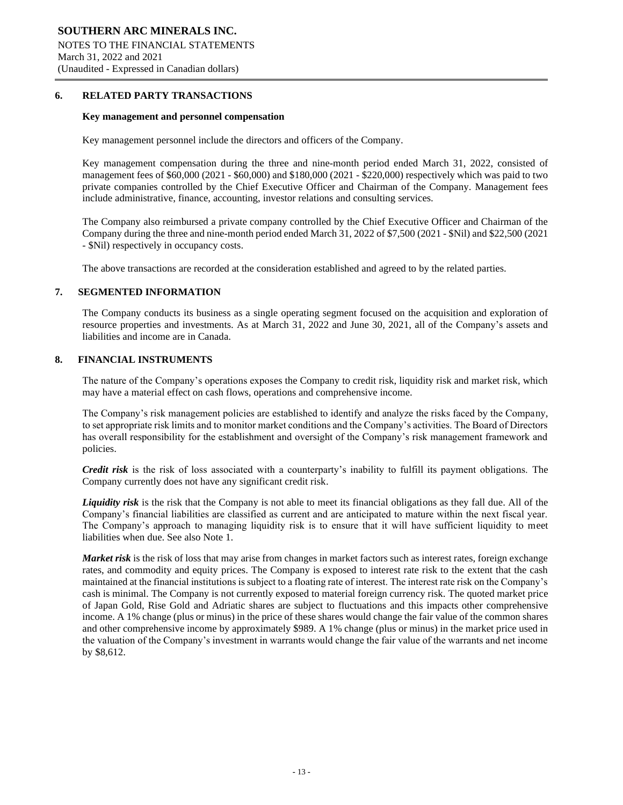#### **6. RELATED PARTY TRANSACTIONS**

#### **Key management and personnel compensation**

Key management personnel include the directors and officers of the Company.

Key management compensation during the three and nine-month period ended March 31, 2022, consisted of management fees of \$60,000 (2021 - \$60,000) and \$180,000 (2021 - \$220,000) respectively which was paid to two private companies controlled by the Chief Executive Officer and Chairman of the Company. Management fees include administrative, finance, accounting, investor relations and consulting services.

֦

The Company also reimbursed a private company controlled by the Chief Executive Officer and Chairman of the Company during the three and nine-month period ended March 31, 2022 of \$7,500 (2021 - \$Nil) and \$22,500 (2021 - \$Nil) respectively in occupancy costs.

The above transactions are recorded at the consideration established and agreed to by the related parties.

#### **7. SEGMENTED INFORMATION**

The Company conducts its business as a single operating segment focused on the acquisition and exploration of resource properties and investments. As at March 31, 2022 and June 30, 2021, all of the Company's assets and liabilities and income are in Canada.

### **8. FINANCIAL INSTRUMENTS**

The nature of the Company's operations exposes the Company to credit risk, liquidity risk and market risk, which may have a material effect on cash flows, operations and comprehensive income.

The Company's risk management policies are established to identify and analyze the risks faced by the Company, to set appropriate risk limits and to monitor market conditions and the Company's activities. The Board of Directors has overall responsibility for the establishment and oversight of the Company's risk management framework and policies.

*Credit risk* is the risk of loss associated with a counterparty's inability to fulfill its payment obligations. The Company currently does not have any significant credit risk.

*Liquidity risk* is the risk that the Company is not able to meet its financial obligations as they fall due. All of the Company's financial liabilities are classified as current and are anticipated to mature within the next fiscal year. The Company's approach to managing liquidity risk is to ensure that it will have sufficient liquidity to meet liabilities when due. See also Note 1.

*Market risk* is the risk of loss that may arise from changes in market factors such as interest rates, foreign exchange rates, and commodity and equity prices. The Company is exposed to interest rate risk to the extent that the cash maintained at the financial institutions is subject to a floating rate of interest. The interest rate risk on the Company's cash is minimal. The Company is not currently exposed to material foreign currency risk. The quoted market price of Japan Gold, Rise Gold and Adriatic shares are subject to fluctuations and this impacts other comprehensive income. A 1% change (plus or minus) in the price of these shares would change the fair value of the common shares and other comprehensive income by approximately \$989. A 1% change (plus or minus) in the market price used in the valuation of the Company's investment in warrants would change the fair value of the warrants and net income by \$8,612.